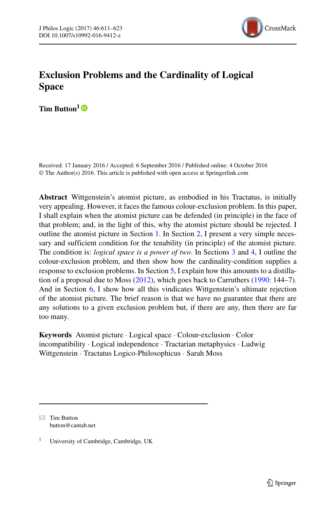

# **Exclusion Problems and the Cardinality of Logical Space**

**Tim Button**<sup>1</sup>

Received: 17 January 2016 / Accepted: 6 September 2016 / Published online: 4 October 2016 © The Author(s) 2016. This article is published with open access at Springerlink.com

**Abstract** Wittgenstein's atomist picture, as embodied in his Tractatus, is initially very appealing. However, it faces the famous colour-exclusion problem. In this paper, I shall explain when the atomist picture can be defended (in principle) in the face of that problem; and, in the light of this, why the atomist picture should be rejected. I outline the atomist picture in Section [1.](#page-1-0) In Section [2,](#page-1-1) I present a very simple necessary and sufficient condition for the tenability (in principle) of the atomist picture. The condition is: *logical space is a power of two*. In Sections [3](#page-3-0) and [4,](#page-4-0) I outline the colour-exclusion problem, and then show how the cardinality-condition supplies a response to exclusion problems. In Section [5,](#page-5-0) I explain how this amounts to a distillation of a proposal due to Moss [\(2012\)](#page-12-0), which goes back to Carruthers [\(1990:](#page-12-1) 144–7). And in Section [6,](#page-9-0) I show how all this vindicates Wittgenstein's ultimate rejection of the atomist picture. The brief reason is that we have no guarantee that there are any solutions to a given exclusion problem but, if there are any, then there are far too many.

**Keywords** Atomist picture · Logical space · Colour-exclusion · Color incompatibility · Logical independence · Tractarian metaphysics · Ludwig Wittgenstein · Tractatus Logico-Philosophicus · Sarah Moss

 $\boxtimes$  Tim Button [button@cantab.net](mailto:button@cantab.net)

<sup>1</sup> University of Cambridge, Cambridge, UK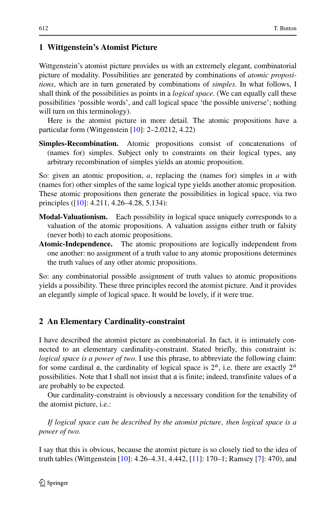## <span id="page-1-0"></span>**1 Wittgenstein's Atomist Picture**

Wittgenstein's atomist picture provides us with an extremely elegant, combinatorial picture of modality. Possibilities are generated by combinations of *atomic propositions*, which are in turn generated by combinations of *simples*. In what follows, I shall think of the possibilities as points in a *logical space*. (We can equally call these possibilities 'possible words', and call logical space 'the possible universe'; nothing will turn on this terminology).

Here is the atomist picture in more detail. The atomic propositions have a particular form (Wittgenstein [\[10\]](#page-12-2): 2–2.0212, 4.22)

**Simples-Recombination.** Atomic propositions consist of concatenations of (names for) simples. Subject only to constraints on their logical types, any arbitrary recombination of simples yields an atomic proposition.

So: given an atomic proposition, *a*, replacing the (names for) simples in *a* with (names for) other simples of the same logical type yields another atomic proposition. These atomic propositions then generate the possibilities in logical space, via two principles ([\[10\]](#page-12-2): 4.211, 4.26–4.28, 5.134):

- **Modal-Valuationism.** Each possibility in logical space uniquely corresponds to a valuation of the atomic propositions. A valuation assigns either truth or falsity (never both) to each atomic propositions.
- **Atomic-Independence.** The atomic propositions are logically independent from one another: no assignment of a truth value to any atomic propositions determines the truth values of any other atomic propositions.

So: any combinatorial possible assignment of truth values to atomic propositions yields a possibility. These three principles record the atomist picture. And it provides an elegantly simple of logical space. It would be lovely, if it were true.

## <span id="page-1-1"></span>**2 An Elementary Cardinality-constraint**

I have described the atomist picture as combinatorial. In fact, it is intimately connected to an elementary cardinality-constraint. Stated briefly, this constraint is: *logical space is a power of two.* I use this phrase, to abbreviate the following claim: for some cardinal  $\alpha$ , the cardinality of logical space is  $2^{\alpha}$ , i.e. there are exactly  $2^{\alpha}$ possibilities. Note that I shall not insist that  $\alpha$  is finite; indeed, transfinite values of  $\alpha$ are probably to be expected.

Our cardinality-constraint is obviously a necessary condition for the tenability of the atomist picture, i.e.:

*If logical space can be described by the atomist picture, then logical space is a power of two.*

I say that this is obvious, because the atomist picture is so closely tied to the idea of truth tables (Wittgenstein [\[10\]](#page-12-2): 4.26–4.31, 4.442, [\[11\]](#page-12-3): 170–1; Ramsey [\[7\]](#page-12-4): 470), and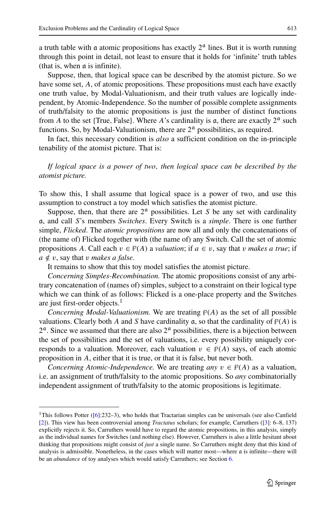a truth table with a atomic propositions has exactly  $2<sup>a</sup>$  lines. But it is worth running through this point in detail, not least to ensure that it holds for 'infinite' truth tables (that is, when a is infinite).

Suppose, then, that logical space can be described by the atomist picture. So we have some set, *A*, of atomic propositions. These propositions must each have exactly one truth value, by Modal-Valuationism, and their truth values are logically independent, by Atomic-Independence. So the number of possible complete assignments of truth/falsity to the atomic propositions is just the number of distinct functions from *A* to the set {True, False}. Where *A*'s cardinality is  $\alpha$ , there are exactly  $2^{\alpha}$  such functions. So, by Modal-Valuationism, there are  $2<sup>\alpha</sup>$  possibilities, as required.

In fact, this necessary condition is *also* a sufficient condition on the in-principle tenability of the atomist picture. That is:

*If logical space is a power of two, then logical space can be described by the atomist picture.*

To show this, I shall assume that logical space is a power of two, and use this assumption to construct a toy model which satisfies the atomist picture.

Suppose, then, that there are  $2<sup>a</sup>$  possibilities. Let *S* be any set with cardinality a, and call *S*'s members *Switches*. Every Switch is a *simple*. There is one further simple, *Flicked*. The *atomic propositions* are now all and only the concatenations of (the name of) Flicked together with (the name of) any Switch. Call the set of atomic propositions *A*. Call each  $v \in \mathcal{P}(A)$  a *valuation*; if  $a \in v$ , say that *v makes a true*; if  $a \notin v$ , say that *v makes a false*.

It remains to show that this toy model satisfies the atomist picture.

*Concerning Simples-Recombination.* The atomic propositions consist of any arbitrary concatenation of (names of) simples, subject to a constraint on their logical type which we can think of as follows: Flicked is a one-place property and the Switches are just first-order objects. $<sup>1</sup>$  $<sup>1</sup>$  $<sup>1</sup>$ </sup>

*Concerning Modal-Valuationism.* We are treating  $P(A)$  as the set of all possible valuations. Clearly both *A* and *S* have cardinality  $\alpha$ , so that the cardinality of  $\mathcal{P}(A)$  is  $2<sup>a</sup>$ . Since we assumed that there are also  $2<sup>a</sup>$  possibilities, there is a bijection between the set of possibilities and the set of valuations, i.e. every possibility uniquely corresponds to a valuation. Moreover, each valuation  $v \in \mathcal{P}(A)$  says, of each atomic proposition in *A*, either that it is true, or that it is false, but never both.

*Concerning Atomic-Independence.* We are treating *any*  $v \in \mathcal{P}(A)$  as a valuation, i.e. an assignment of truth/falsity to the atomic propositions. So *any* combinatorially independent assignment of truth/falsity to the atomic propositions is legitimate.

<span id="page-2-0"></span><sup>&</sup>lt;sup>1</sup>This follows Potter ( $[6]$ :232–3), who holds that Tractarian simples can be universals (see also Canfield [\[2\]](#page-11-0)). This view has been controversial among *Tractatus* scholars; for example, Carruthers ([\[3\]](#page-12-1): 6–8, 137) explicitly rejects it. So, Carruthers would have to regard the atomic propositions, in this analysis, simply as the individual names for Switches (and nothing else). However, Carruthers is also a little hesitant about thinking that propositions might consist of *just* a single name. So Carruthers might deny that this kind of analysis is admissible. Nonetheless, in the cases which will matter most—where  $\alpha$  is infinite—there will be an *abundance* of toy analyses which would satisfy Carruthers; see Section [6.](#page-9-0)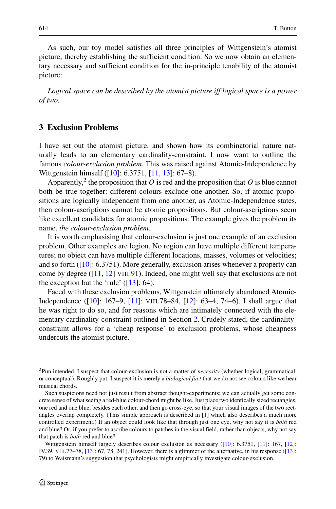As such, our toy model satisfies all three principles of Wittgenstein's atomist picture, thereby establishing the sufficient condition. So we now obtain an elementary necessary and sufficient condition for the in-principle tenability of the atomist picture:

*Logical space can be described by the atomist picture iff logical space is a power of two.*

# <span id="page-3-0"></span>**3 Exclusion Problems**

I have set out the atomist picture, and shown how its combinatorial nature naturally leads to an elementary cardinality-constraint. I now want to outline the famous *colour-exclusion problem*. This was raised against Atomic-Independence by Wittgenstein himself ([\[10\]](#page-12-2): 6.3751, [\[11,](#page-12-3) [13\]](#page-12-6): 67–8).

Apparently,<sup>[2](#page-3-1)</sup> the proposition that  $O$  is red and the proposition that  $O$  is blue cannot both be true together: different colours exclude one another. So, if atomic propositions are logically independent from one another, as Atomic-Independence states, then colour-ascriptions cannot be atomic propositions. But colour-ascriptions seem like excellent candidates for atomic propositions. The example gives the problem its name, *the colour-exclusion problem*.

It is worth emphasising that colour-exclusion is just one example of an exclusion problem. Other examples are legion. No region can have multiple different temperatures; no object can have multiple different locations, masses, volumes or velocities; and so forth ([\[10\]](#page-12-2): 6.3751). More generally, exclusion arises whenever a property can come by degree ([\[11,](#page-12-3) [12\]](#page-12-7) VIII.91). Indeed, one might well say that exclusions are not the exception but the 'rule'  $([13]: 64)$  $([13]: 64)$  $([13]: 64)$ .

Faced with these exclusion problems, Wittgenstein ultimately abandoned Atomic-Independence ([\[10\]](#page-12-2): 167–9, [\[11\]](#page-12-3): VIII.78–84, [\[12\]](#page-12-7): 63–4, 74–6). I shall argue that he was right to do so, and for reasons which are intimately connected with the elementary cardinality-constraint outlined in Section [2.](#page-1-1) Crudely stated, the cardinalityconstraint allows for a 'cheap response' to exclusion problems, whose cheapness undercuts the atomist picture.

<span id="page-3-1"></span><sup>2</sup>Pun intended. I suspect that colour-exclusion is not a matter of *necessity* (whether logical, grammatical, or conceptual). Roughly put: I suspect it is merely a *biological fact* that we do not see colours like we hear musical chords.

Such suspicions need not just result from abstract thought-experiments; we can actually get some concrete sense of what seeing a red-blue colour-chord might be like. Just place two identically sized rectangles, one red and one blue, besides each other, and then go cross-eye, so that your visual images of the two rectangles overlap completely. (This simple approach is described in [\[1\]](#page-11-1) which also describes a much more controlled experiment.) If an object could look like that through just one eye, why not say it is *both* red and blue? Or, if you prefer to ascribe colours to patches in the visual field, rather than objects, why not say that patch is *both* red and blue?

Wittgenstein himself largely describes colour exclusion as necessary ([\[10\]](#page-12-2): 6.3751, [\[11\]](#page-12-3): 167, [\[12\]](#page-12-7): IV.39, VIII.77–78, [\[13\]](#page-12-6): 67, 78, 241). However, there is a glimmer of the alternative, in his response ([\[13\]](#page-12-6): 79) to Waismann's suggestion that psychologists might empirically investigate colour-exclusion.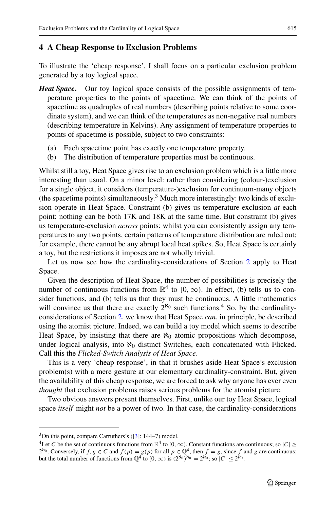#### <span id="page-4-0"></span>**4 A Cheap Response to Exclusion Problems**

To illustrate the 'cheap response', I shall focus on a particular exclusion problem generated by a toy logical space.

- *Heat Space***.** Our toy logical space consists of the possible assignments of temperature properties to the points of spacetime. We can think of the points of spacetime as quadruples of real numbers (describing points relative to some coordinate system), and we can think of the temperatures as non-negative real numbers (describing temperature in Kelvins). Any assignment of temperature properties to points of spacetime is possible, subject to two constraints:
	- (a) Each spacetime point has exactly one temperature property.
	- (b) The distribution of temperature properties must be continuous.

Whilst still a toy, Heat Space gives rise to an exclusion problem which is a little more interesting than usual. On a minor level: rather than considering (colour-)exclusion for a single object, it considers (temperature-)exclusion for continuum-many objects (the spacetime points) simultaneously.<sup>[3](#page-4-1)</sup> Much more interestingly: two kinds of exclusion operate in Heat Space. Constraint (b) gives us temperature-exclusion *at* each point: nothing can be both 17K and 18K at the same time. But constraint (b) gives us temperature-exclusion *across* points: whilst you can consistently assign any temperatures to any two points, certain patterns of temperature distribution are ruled out; for example, there cannot be any abrupt local heat spikes. So, Heat Space is certainly a toy, but the restrictions it imposes are not wholly trivial.

Let us now see how the cardinality-considerations of Section [2](#page-1-1) apply to Heat Space.

Given the description of Heat Space, the number of possibilities is precisely the number of continuous functions from  $\mathbb{R}^4$  to  $[0, \infty)$ . In effect, (b) tells us to consider functions, and (b) tells us that they must be continuous. A little mathematics will convince us that there are exactly  $2^{\aleph_0}$  such functions.<sup>[4](#page-4-2)</sup> So, by the cardinalityconsiderations of Section [2,](#page-1-1) we know that Heat Space *can*, in principle, be described using the atomist picture. Indeed, we can build a toy model which seems to describe Heat Space, by insisting that there are  $\aleph_0$  atomic propositions which decompose, under logical analysis, into  $\aleph_0$  distinct Switches, each concatenated with Flicked. Call this the *Flicked-Switch Analysis of Heat Space*.

This is a very 'cheap response', in that it brushes aside Heat Space's exclusion problem(s) with a mere gesture at our elementary cardinality-constraint. But, given the availability of this cheap response, we are forced to ask why anyone has ever even *thought* that exclusion problems raises serious problems for the atomist picture.

Two obvious answers present themselves. First, unlike our toy Heat Space, logical space *itself* might *not* be a power of two. In that case, the cardinality-considerations

 $3$ On this point, compare Carruthers's ([\[3\]](#page-12-1): 144–7) model.

<span id="page-4-2"></span><span id="page-4-1"></span><sup>&</sup>lt;sup>4</sup>Let *C* be the set of continuous functions from  $\mathbb{R}^4$  to [0,  $\infty$ ). Constant functions are continuous; so  $|C|$  > 2<sup>No</sup>. Conversely, if  $f, g \in C$  and  $f(p) = g(p)$  for all  $p \in \mathbb{Q}^4$ , then  $f = g$ , since  $f$  and  $g$  are continuous; but the total number of functions from  $\mathbb{Q}^4$  to  $[0, \infty)$  is  $(2^{\aleph_0})^{\aleph_0} = 2^{\aleph_0}$ ; so  $|C| \le 2^{\aleph_0}$ .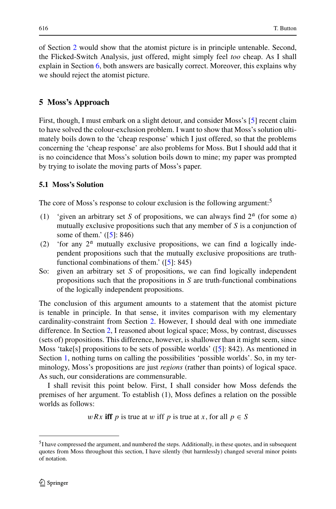of Section [2](#page-1-1) would show that the atomist picture is in principle untenable. Second, the Flicked-Switch Analysis, just offered, might simply feel *too* cheap. As I shall explain in Section [6,](#page-9-0) both answers are basically correct. Moreover, this explains why we should reject the atomist picture.

# <span id="page-5-0"></span>**5 Moss's Approach**

First, though, I must embark on a slight detour, and consider Moss's [\[5\]](#page-12-0) recent claim to have solved the colour-exclusion problem. I want to show that Moss's solution ultimately boils down to the 'cheap response' which I just offered, so that the problems concerning the 'cheap response' are also problems for Moss. But I should add that it is no coincidence that Moss's solution boils down to mine; my paper was prompted by trying to isolate the moving parts of Moss's paper.

#### **5.1 Moss's Solution**

The core of Moss's response to colour exclusion is the following argument:<sup>5</sup>

- (1) 'given an arbitrary set *S* of propositions, we can always find  $2<sup>a</sup>$  (for some  $a$ ) mutually exclusive propositions such that any member of *S* is a conjunction of some of them.' ([\[5\]](#page-12-0): 846)
- (2) 'for any  $2^{\alpha}$  mutually exclusive propositions, we can find a logically independent propositions such that the mutually exclusive propositions are truthfunctional combinations of them.' ([\[5\]](#page-12-0): 845)
- So: given an arbitrary set *S* of propositions, we can find logically independent propositions such that the propositions in *S* are truth-functional combinations of the logically independent propositions.

The conclusion of this argument amounts to a statement that the atomist picture is tenable in principle. In that sense, it invites comparison with my elementary cardinality-constraint from Section [2.](#page-1-1) However, I should deal with one immediate difference. In Section [2,](#page-1-1) I reasoned about logical space; Moss, by contrast, discusses (sets of) propositions. This difference, however, is shallower than it might seem, since Moss 'take[s] propositions to be sets of possible worlds' ([\[5\]](#page-12-0): 842). As mentioned in Section [1,](#page-1-0) nothing turns on calling the possibilities 'possible worlds'. So, in my terminology, Moss's propositions are just *regions* (rather than points) of logical space. As such, our considerations are commensurable.

I shall revisit this point below. First, I shall consider how Moss defends the premises of her argument. To establish (1), Moss defines a relation on the possible worlds as follows:

*wRx* **iff** *p* is true at *w* iff *p* is true at *x*, for all  $p \in S$ 

<span id="page-5-1"></span><sup>&</sup>lt;sup>5</sup>I have compressed the argument, and numbered the steps. Additionally, in these quotes, and in subsequent quotes from Moss throughout this section, I have silently (but harmlessly) changed several minor points of notation.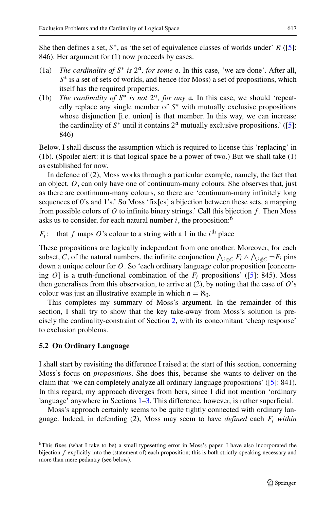She then defines a set,  $S^*$ , as 'the set of equivalence classes of worlds under' *R* ([\[5\]](#page-12-0): 846). Her argument for (1) now proceeds by cases:

- (1a) *The cardinality of*  $S^*$  *is*  $2^a$ , *for some* **a**. In this case, 'we are done'. After all, *S*<sup>∗</sup> is a set of sets of worlds, and hence (for Moss) a set of propositions, which itself has the required properties.
- (1b) *The cardinality of*  $S^*$  *is not*  $2^a$ *, for any*  $a$ *. In this case, we should 'repeat*edly replace any single member of *S*∗ with mutually exclusive propositions whose disjunction [i.e. union] is that member. In this way, we can increase the cardinality of  $S^*$  until it contains  $2^{\alpha}$  mutually exclusive propositions.' ([\[5\]](#page-12-0): 846)

Below, I shall discuss the assumption which is required to license this 'replacing' in (1b). (Spoiler alert: it is that logical space be a power of two.) But we shall take (1) as established for now.

In defence of (2), Moss works through a particular example, namely, the fact that an object, *O*, can only have one of continuum-many colours. She observes that, just as there are continuum-many colours, so there are 'continuum-many infinitely long sequences of 0's and 1's.' So Moss 'fix[es] a bijection between these sets, a mapping from possible colors of *O* to infinite binary strings.' Call this bijection *f* . Then Moss asks us to consider, for each natural number  $i$ , the proposition:<sup>6</sup>

*F<sub>i</sub>*: that *f* maps *O*'s colour to a string with a 1 in the *i*<sup>th</sup> place

These propositions are logically independent from one another. Moreover, for each subset, *C*, of the natural numbers, the infinite conjunction  $\bigwedge_{i \in C} F_i \wedge \bigwedge_{i \notin C} \neg F_i$  pins down a unique colour for *O*. So 'each ordinary language color proposition [concerning  $O$ ] is a truth-functional combination of the  $F_i$  propositions' ([\[5\]](#page-12-0): 845). Moss then generalises from this observation, to arrive at (2), by noting that the case of *O*'s colour was just an illustrative example in which  $\mathfrak{a} = \aleph_0$ .

This completes my summary of Moss's argument. In the remainder of this section, I shall try to show that the key take-away from Moss's solution is precisely the cardinality-constraint of Section [2,](#page-1-1) with its concomitant 'cheap response' to exclusion problems.

# **5.2 On Ordinary Language**

I shall start by revisiting the difference I raised at the start of this section, concerning Moss's focus on *propositions*. She does this, because she wants to deliver on the claim that 'we can completely analyze all ordinary language propositions' ([\[5\]](#page-12-0): 841). In this regard, my approach diverges from hers, since I did not mention 'ordinary language' anywhere in Sections [1–](#page-1-0)[3.](#page-3-0) This difference, however, is rather superficial.

Moss's approach certainly seems to be quite tightly connected with ordinary language. Indeed, in defending (2), Moss may seem to have *defined* each *Fi within*

<span id="page-6-0"></span><sup>6</sup>This fixes (what I take to be) a small typesetting error in Moss's paper. I have also incorporated the bijection *f* explicitly into the (statement of) each proposition; this is both strictly-speaking necessary and more than mere pedantry (see below).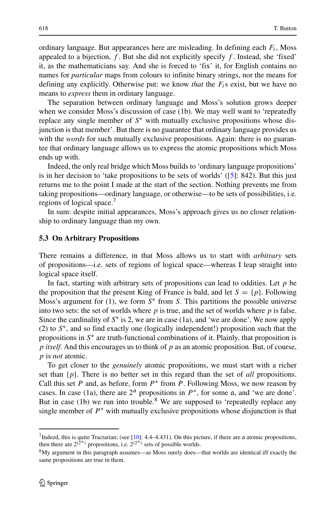ordinary language. But appearances here are misleading. In defining each *Fi*, Moss appealed to a bijection, *f* . But she did not explicitly specify *f* . Instead, she 'fixed' it, as the mathematicians say. And she is forced to 'fix' it, for English contains no names for *particular* maps from colours to infinite binary strings, nor the means for defining any explicitly. Otherwise put: we know *that* the *Fi*s exist, but we have no means to *express* them in ordinary language.

The separation between ordinary language and Moss's solution grows deeper when we consider Moss's discussion of case (1b). We may well want to 'repeatedly replace any single member of *S*∗ with mutually exclusive propositions whose disjunction is that member'. But there is no guarantee that ordinary language provides us with the *words* for such mutually exclusive propositions. Again: there is no guarantee that ordinary language allows us to express the atomic propositions which Moss ends up with.

Indeed, the only real bridge which Moss builds to 'ordinary language propositions' is in her decision to 'take propositions to be sets of worlds' ([\[5\]](#page-12-0): 842). But this just returns me to the point I made at the start of the section. Nothing prevents me from taking propositions—ordinary language, or otherwise—to be sets of possibilities, i.e. regions of logical space.[7](#page-7-0)

In sum: despite initial appearances, Moss's approach gives us no closer relationship to ordinary language than my own.

#### **5.3 On Arbitrary Propositions**

There remains a difference, in that Moss allows us to start with *arbitrary* sets of propositions—i.e. sets of regions of logical space—whereas I leap straight into logical space itself.

In fact, starting with arbitrary sets of propositions can lead to oddities. Let *p* be the proposition that the present King of France is bald, and let  $S = \{p\}$ . Following Moss's argument for (1), we form *S*∗ from *S*. This partitions the possible universe into two sets: the set of worlds where *p* is true, and the set of worlds where *p* is false. Since the cardinality of *S*∗ is 2, we are in case (1a), and 'we are done'. We now apply (2) to *S*∗, and so find exactly one (logically independent!) proposition such that the propositions in *S*∗ are truth-functional combinations of it. Plainly, that proposition is *p itself*. And this encourages us to think of *p* as an atomic proposition. But, of course, *p* is *not* atomic.

To get closer to the *genuinely* atomic propositions, we must start with a richer set than {*p*}. There is no better set in this regard than the set of *all* propositions. Call this set  $P$  and, as before, form  $P^*$  from  $P$ . Following Moss, we now reason by cases. In case (1a), there are  $2<sup>a</sup>$  propositions in  $P^*$ , for some a, and 'we are done'. But in case (1b) we run into trouble.<sup>[8](#page-7-1)</sup> We are supposed to 'repeatedly replace any single member of  $P^*$  with mutually exclusive propositions whose disjunction is that

<span id="page-7-0"></span> $<sup>7</sup>$ Indeed, this is quite Tractarian; (see [\[10\]](#page-12-2): 4.4–4.431). On this picture, if there are a atomic propositions,</sup> then there are  $2^{(2^{\alpha})}$  propositions, i.e.  $2^{(2^{\alpha})}$  sets of possible worlds.

<span id="page-7-1"></span><sup>8</sup>My argument in this paragraph assumes—as Moss surely does—that worlds are identical iff exactly the same propositions are true in them.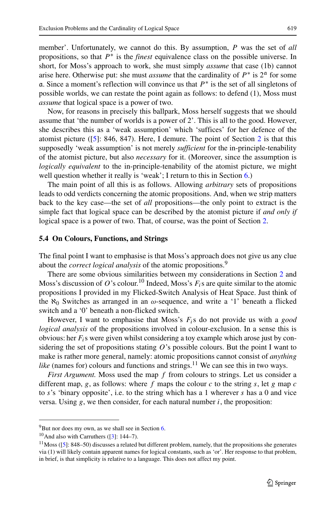member'. Unfortunately, we cannot do this. By assumption, *P* was the set of *all* propositions, so that *P*∗ is the *finest* equivalence class on the possible universe. In short, for Moss's approach to work, she must simply *assume* that case (1b) cannot arise here. Otherwise put: she must *assume* that the cardinality of  $P^*$  is  $2^{\alpha}$  for some a. Since a moment's reflection will convince us that *P*∗ is the set of all singletons of possible worlds, we can restate the point again as follows: to defend (1), Moss must *assume* that logical space is a power of two.

Now, for reasons in precisely this ballpark, Moss herself suggests that we should assume that 'the number of worlds is a power of 2'. This is all to the good. However, she describes this as a 'weak assumption' which 'suffices' for her defence of the atomist picture ([\[5\]](#page-12-0): 846, 847). Here, I demure. The point of Section [2](#page-1-1) is that this supposedly 'weak assumption' is not merely *sufficient* for the in-principle-tenability of the atomist picture, but also *necessary* for it. (Moreover, since the assumption is *logically equivalent* to the in-principle-tenability of the atomist picture, we might well question whether it really is 'weak'; I return to this in Section [6.](#page-9-0))

The main point of all this is as follows. Allowing *arbitrary* sets of propositions leads to odd verdicts concerning the atomic propositions. And, when we strip matters back to the key case—the set of *all* propositions—the only point to extract is the simple fact that logical space can be described by the atomist picture if *and only if* logical space is a power of two. That, of course, was the point of Section [2.](#page-1-1)

## **5.4 On Colours, Functions, and Strings**

The final point I want to emphasise is that Moss's approach does not give us any clue about the *correct logical analysis* of the atomic propositions.[9](#page-8-0)

There are some obvious similarities between my considerations in Section [2](#page-1-1) and Moss's discussion of *O*'s colour.<sup>10</sup> Indeed, Moss's  $F_i$ s are quite similar to the atomic propositions I provided in my Flicked-Switch Analysis of Heat Space. Just think of the  $\aleph_0$  Switches as arranged in an  $\omega$ -sequence, and write a '1' beneath a flicked switch and a '0' beneath a non-flicked switch.

However, I want to emphasise that Moss's *Fi*s do not provide us with a *good logical analysis* of the propositions involved in colour-exclusion. In a sense this is obvious: her *Fi*s were given whilst considering a toy example which arose just by considering the set of propositions stating *O*'s possible colours. But the point I want to make is rather more general, namely: atomic propositions cannot consist of *anything like* (names for) colours and functions and strings.<sup>[11](#page-8-2)</sup> We can see this in two ways.

*First Argument.* Moss used the map *f* from colours to strings. Let us consider a different map,  $g$ , as follows: where  $f$  maps the colour  $c$  to the string  $s$ , let  $g$  map  $c$ to *s*'s 'binary opposite', i.e. to the string which has a 1 wherever *s* has a 0 and vice versa. Using  $g$ , we then consider, for each natural number  $i$ , the proposition:

 $9^9$ But nor does my own, as we shall see in Section [6.](#page-9-0)

<span id="page-8-0"></span> $10$ And also with Carruthers ([\[3\]](#page-12-1): 144–7).

<span id="page-8-2"></span><span id="page-8-1"></span> $11$  Moss ([\[5\]](#page-12-0): 848–50) discusses a related but different problem, namely, that the propositions she generates via (1) will likely contain apparent names for logical constants, such as 'or'. Her response to that problem, in brief, is that simplicity is relative to a language. This does not affect my point.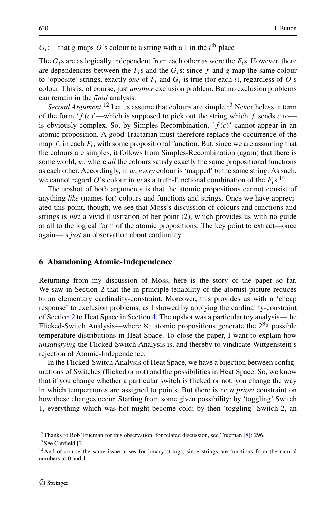# $G_i$ : that *g* maps *O*'s colour to a string with a 1 in the *i*<sup>th</sup> place

The  $G_i$ s are as logically independent from each other as were the  $F_i$ s. However, there are dependencies between the  $F_i$ s and the  $G_i$ s: since  $f$  and  $g$  map the same colour to 'opposite' strings, exactly *one* of  $F_i$  and  $G_i$  is true (for each *i*), regardless of  $O$ 's colour. This is, of course, just *another* exclusion problem. But no exclusion problems can remain in the *final* analysis.

*Second Argument.*<sup>[12](#page-9-1)</sup> Let us assume that colours are simple.<sup>[13](#page-9-2)</sup> Nevertheless, a term of the form  $f(c)$ —which is supposed to pick out the string which *f* sends *c* to is obviously complex. So, by Simples-Recombination, '*f (c)*' cannot appear in an atomic proposition. A good Tractarian must therefore replace the occurrence of the map  $f$ , in each  $F_i$ , with some propositional function. But, since we are assuming that the colours are simples, it follows from Simples-Recombination (again) that there is some world, *w*, where *all* the colours satisfy exactly the same propositional functions as each other. Accordingly, in *w*, *every* colour is 'mapped' to the same string. As such, we cannot regard O's colour in *w* as a truth-functional combination of the  $F_i$ s.<sup>[14](#page-9-3)</sup>

The upshot of both arguments is that the atomic propositions cannot consist of anything *like* (names for) colours and functions and strings. Once we have appreciated this point, though, we see that Moss's discussion of colours and functions and strings is *just* a vivid illustration of her point (2), which provides us with no guide at all to the logical form of the atomic propositions. The key point to extract—once again—is *just* an observation about cardinality.

#### <span id="page-9-0"></span>**6 Abandoning Atomic-Independence**

Returning from my discussion of Moss, here is the story of the paper so far. We saw in Section [2](#page-1-1) that the in-principle-tenability of the atomist picture reduces to an elementary cardinality-constraint. Moreover, this provides us with a 'cheap response' to exclusion problems, as I showed by applying the cardinality-constraint of Section [2](#page-1-1) to Heat Space in Section [4.](#page-4-0) The upshot was a particular toy analysis—the Flicked-Switch Analysis—where  $\aleph_0$  atomic propositions generate the  $2^{\aleph_0}$  possible temperature distributions in Heat Space. To close the paper, I want to explain how *unsatisfying* the Flicked-Switch Analysis is, and thereby to vindicate Wittgenstein's rejection of Atomic-Independence.

In the Flicked-Switch Analysis of Heat Space, we have a bijection between configurations of Switches (flicked or not) and the possibilities in Heat Space. So, we know that if you change whether a particular switch is flicked or not, you change the way in which temperatures are assigned to points. But there is no *a priori* constraint on how these changes occur. Starting from some given possibility: by 'toggling' Switch 1, everything which was hot might become cold; by then 'toggling' Switch 2, an

<sup>&</sup>lt;sup>12</sup>Thanks to Rob Trueman for this observation; for related discussion, see Trueman [\[8\]](#page-12-8): 296.

<span id="page-9-1"></span><sup>&</sup>lt;sup>13</sup>See Canfield [\[2\]](#page-11-0).

<span id="page-9-3"></span><span id="page-9-2"></span><sup>&</sup>lt;sup>14</sup>And of course the same issue arises for binary strings, since strings are functions from the natural numbers to 0 and 1.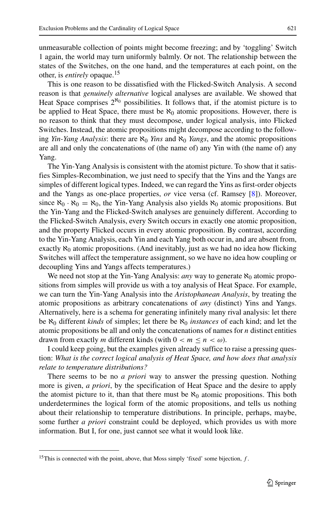unmeasurable collection of points might become freezing; and by 'toggling' Switch 1 again, the world may turn uniformly balmly. Or not. The relationship between the states of the Switches, on the one hand, and the temperatures at each point, on the other, is *entirely* opaque[.15](#page-10-0)

This is one reason to be dissatisfied with the Flicked-Switch Analysis. A second reason is that *genuinely alternative* logical analyses are available. We showed that Heat Space comprises  $2^{\aleph_0}$  possibilities. It follows that, if the atomist picture is to be applied to Heat Space, there must be  $\aleph_0$  atomic propositions. However, there is no reason to think that they must decompose, under logical analysis, into Flicked Switches. Instead, the atomic propositions might decompose according to the following *Yin-Yang Analysis*: there are  $\aleph_0$  *Yins* and  $\aleph_0$  *Yangs*, and the atomic propositions are all and only the concatenations of (the name of) any Yin with (the name of) any Yang.

The Yin-Yang Analysis is consistent with the atomist picture. To show that it satisfies Simples-Recombination, we just need to specify that the Yins and the Yangs are simples of different logical types. Indeed, we can regard the Yins as first-order objects and the Yangs as one-place properties, *or* vice versa (cf. Ramsey [\[8\]](#page-12-8)). Moreover, since  $\aleph_0 \cdot \aleph_0 = \aleph_0$ , the Yin-Yang Analysis also yields  $\aleph_0$  atomic propositions. But the Yin-Yang and the Flicked-Switch analyses are genuinely different. According to the Flicked-Switch Analysis, every Switch occurs in exactly one atomic proposition, and the property Flicked occurs in every atomic proposition. By contrast, according to the Yin-Yang Analysis, each Yin and each Yang both occur in, and are absent from, exactly  $\aleph_0$  atomic propositions. (And inevitably, just as we had no idea how flicking Switches will affect the temperature assignment, so we have no idea how coupling or decoupling Yins and Yangs affects temperatures.)

We need not stop at the Yin-Yang Analysis: *any* way to generate  $\aleph_0$  atomic propositions from simples will provide us with a toy analysis of Heat Space. For example, we can turn the Yin-Yang Analysis into the *Aristophanean Analysis*, by treating the atomic propositions as arbitrary concatenations of *any* (distinct) Yins and Yangs. Alternatively, here is a schema for generating infinitely many rival analysis: let there be ℵ<sup>0</sup> different *kinds* of simples; let there be ℵ<sup>0</sup> *instances* of each kind; and let the atomic propositions be all and only the concatenations of names for *n* distinct entities drawn from exactly *m* different kinds (with  $0 < m \le n < \omega$ ).

I could keep going, but the examples given already suffice to raise a pressing question: *What is the correct logical analysis of Heat Space, and how does that analysis relate to temperature distributions?*

There seems to be no *a priori* way to answer the pressing question. Nothing more is given, *a priori*, by the specification of Heat Space and the desire to apply the atomist picture to it, than that there must be  $\aleph_0$  atomic propositions. This both underdetermines the logical form of the atomic propositions, and tells us nothing about their relationship to temperature distributions. In principle, perhaps, maybe, some further *a priori* constraint could be deployed, which provides us with more information. But I, for one, just cannot see what it would look like.

<span id="page-10-0"></span><sup>&</sup>lt;sup>15</sup>This is connected with the point, above, that Moss simply 'fixed' some bijection, *f*.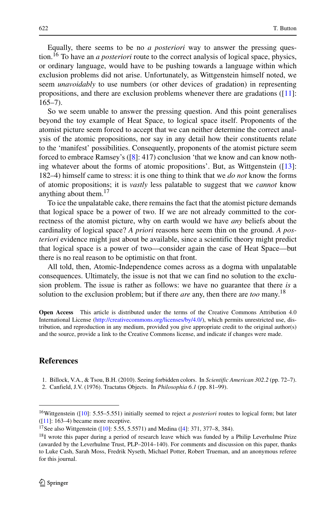Equally, there seems to be no *a posteriori* way to answer the pressing question[.16](#page-11-2) To have an *a posteriori* route to the correct analysis of logical space, physics, or ordinary language, would have to be pushing towards a language within which exclusion problems did not arise. Unfortunately, as Wittgenstein himself noted, we seem *unavoidably* to use numbers (or other devices of gradation) in representing propositions, and there are exclusion problems whenever there are gradations ([\[11\]](#page-12-3):  $165 - 7$ ).

So we seem unable to answer the pressing question. And this point generalises beyond the toy example of Heat Space, to logical space itself. Proponents of the atomist picture seem forced to accept that we can neither determine the correct analysis of the atomic propositions, nor say in any detail how their constituents relate to the 'manifest' possibilities. Consequently, proponents of the atomist picture seem forced to embrace Ramsey's ([\[8\]](#page-12-8): 417) conclusion 'that we know and can know nothing whatever about the forms of atomic propositions'. But, as Wittgenstein ([\[13\]](#page-12-6): 182–4) himself came to stress: it is one thing to think that we *do not* know the forms of atomic propositions; it is *vastly* less palatable to suggest that we *cannot* know anything about them[.17](#page-11-3)

To ice the unpalatable cake, there remains the fact that the atomist picture demands that logical space be a power of two. If we are not already committed to the correctness of the atomist picture, why on earth would we have *any* beliefs about the cardinality of logical space? *A priori* reasons here seem thin on the ground. *A posteriori* evidence might just about be available, since a scientific theory might predict that logical space is a power of two—consider again the case of Heat Space—but there is no real reason to be optimistic on that front.

All told, then, Atomic-Independence comes across as a dogma with unpalatable consequences. Ultimately, the issue is not that we can find no solution to the exclusion problem. The issue is rather as follows: we have no guarantee that there *is* a solution to the exclusion problem; but if there *are* any, then there are *too* many.[18](#page-11-4)

**Open Access** This article is distributed under the terms of the Creative Commons Attribution 4.0 International License [\(http://creativecommons.org/licenses/by/4.0/\)](http://creativecommons.org/licenses/by/4.0/), which permits unrestricted use, distribution, and reproduction in any medium, provided you give appropriate credit to the original author(s) and the source, provide a link to the Creative Commons license, and indicate if changes were made.

#### **References**

<span id="page-11-1"></span><sup>1.</sup> Billock, V.A., & Tsou, B.H. (2010). Seeing forbidden colors. In *Scientific American 302.2* (pp. 72–7).

<span id="page-11-0"></span><sup>2.</sup> Canfield, J.V. (1976). Tractatus Objects. In *Philosophia 6.1* (pp. 81–99).

<span id="page-11-2"></span><sup>16</sup>Wittgenstein ([\[10\]](#page-12-2): 5.55–5.551) initially seemed to reject *a posteriori* routes to logical form; but later  $([11]: 163-4)$  $([11]: 163-4)$  $([11]: 163-4)$  became more receptive.

<sup>17</sup>See also Wittgenstein ([\[10\]](#page-12-2): 5.55, 5.5571) and Medina ([\[4\]](#page-12-9): 371, 377–8, 384).

<span id="page-11-4"></span><span id="page-11-3"></span><sup>&</sup>lt;sup>18</sup>I wrote this paper during a period of research leave which was funded by a Philip Leverhulme Prize (awarded by the Leverhulme Trust, PLP–2014–140). For comments and discussion on this paper, thanks to Luke Cash, Sarah Moss, Fredrik Nyseth, Michael Potter, Robert Trueman, and an anonymous referee for this journal.